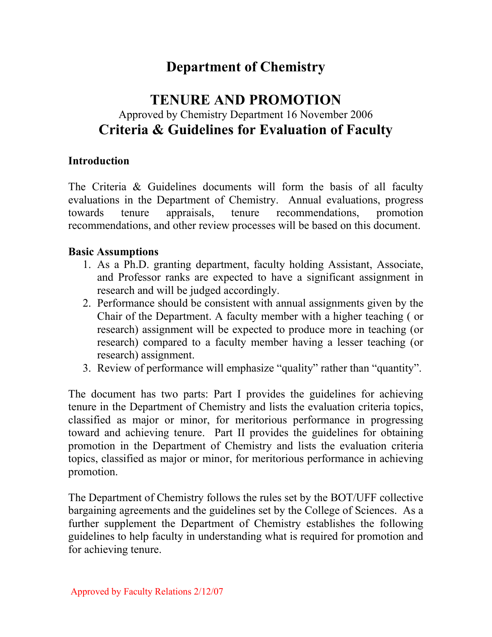# **Department of Chemistry**

# **TENURE AND PROMOTION** Approved by Chemistry Department 16 November 2006 **Criteria & Guidelines for Evaluation of Faculty**

#### **Introduction**

The Criteria & Guidelines documents will form the basis of all faculty evaluations in the Department of Chemistry. Annual evaluations, progress towards tenure appraisals, tenure recommendations, promotion recommendations, and other review processes will be based on this document.

### **Basic Assumptions**

- 1. As a Ph.D. granting department, faculty holding Assistant, Associate, and Professor ranks are expected to have a significant assignment in research and will be judged accordingly.
- 2. Performance should be consistent with annual assignments given by the Chair of the Department. A faculty member with a higher teaching ( or research) assignment will be expected to produce more in teaching (or research) compared to a faculty member having a lesser teaching (or research) assignment.
- 3. Review of performance will emphasize "quality" rather than "quantity".

The document has two parts: Part I provides the guidelines for achieving tenure in the Department of Chemistry and lists the evaluation criteria topics, classified as major or minor, for meritorious performance in progressing toward and achieving tenure. Part II provides the guidelines for obtaining promotion in the Department of Chemistry and lists the evaluation criteria topics, classified as major or minor, for meritorious performance in achieving promotion.

The Department of Chemistry follows the rules set by the BOT/UFF collective bargaining agreements and the guidelines set by the College of Sciences. As a further supplement the Department of Chemistry establishes the following guidelines to help faculty in understanding what is required for promotion and for achieving tenure.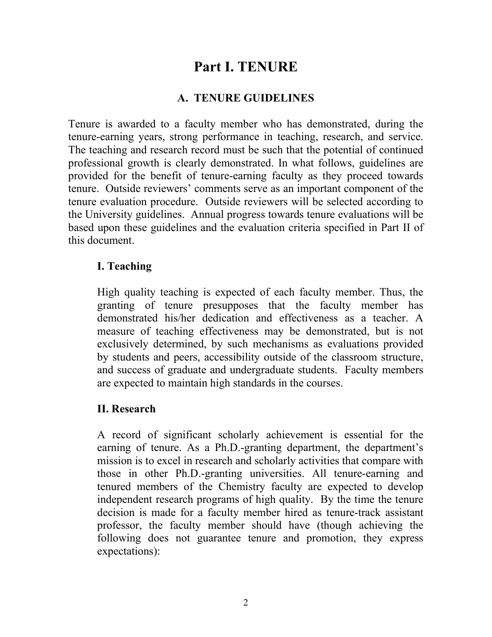# **Part I. TENURE**

# **A. TENURE GUIDELINES**

Tenure is awarded to a faculty member who has demonstrated, during the tenure-earning years, strong performance in teaching, research, and service. The teaching and research record must be such that the potential of continued professional growth is clearly demonstrated. In what follows, guidelines are provided for the benefit of tenure-earning faculty as they proceed towards tenure. Outside reviewers' comments serve as an important component of the tenure evaluation procedure. Outside reviewers will be selected according to the University guidelines. Annual progress towards tenure evaluations will be based upon these guidelines and the evaluation criteria specified in Part II of this document.

### **I. Teaching**

High quality teaching is expected of each faculty member. Thus, the granting of tenure presupposes that the faculty member has demonstrated his/her dedication and effectiveness as a teacher. A measure of teaching effectiveness may be demonstrated, but is not exclusively determined, by such mechanisms as evaluations provided by students and peers, accessibility outside of the classroom structure, and success of graduate and undergraduate students. Faculty members are expected to maintain high standards in the courses.

## **II. Research**

A record of significant scholarly achievement is essential for the earning of tenure. As a Ph.D.-granting department, the department's mission is to excel in research and scholarly activities that compare with those in other Ph.D.-granting universities. All tenure-earning and tenured members of the Chemistry faculty are expected to develop independent research programs of high quality. By the time the tenure decision is made for a faculty member hired as tenure-track assistant professor, the faculty member should have (though achieving the following does not guarantee tenure and promotion, they express expectations):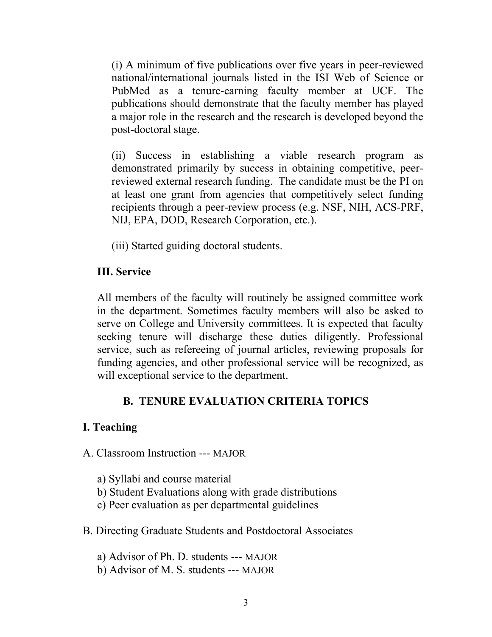(i) A minimum of five publications over five years in peer-reviewed national/international journals listed in the ISI Web of Science or PubMed as a tenure-earning faculty member at UCF. The publications should demonstrate that the faculty member has played a major role in the research and the research is developed beyond the post-doctoral stage.

(ii) Success in establishing a viable research program as demonstrated primarily by success in obtaining competitive, peerreviewed external research funding. The candidate must be the PI on at least one grant from agencies that competitively select funding recipients through a peer-review process (e.g. NSF, NIH, ACS-PRF, NIJ, EPA, DOD, Research Corporation, etc.).

(iii) Started guiding doctoral students.

## **III. Service**

All members of the faculty will routinely be assigned committee work in the department. Sometimes faculty members will also be asked to serve on College and University committees. It is expected that faculty seeking tenure will discharge these duties diligently. Professional service, such as refereeing of journal articles, reviewing proposals for funding agencies, and other professional service will be recognized, as will exceptional service to the department.

# **B. TENURE EVALUATION CRITERIA TOPICS**

#### **I. Teaching**

- A. Classroom Instruction --- MAJOR
	- a) Syllabi and course material
	- b) Student Evaluations along with grade distributions
	- c) Peer evaluation as per departmental guidelines
- B. Directing Graduate Students and Postdoctoral Associates

a) Advisor of Ph. D. students --- MAJOR

b) Advisor of M. S. students --- MAJOR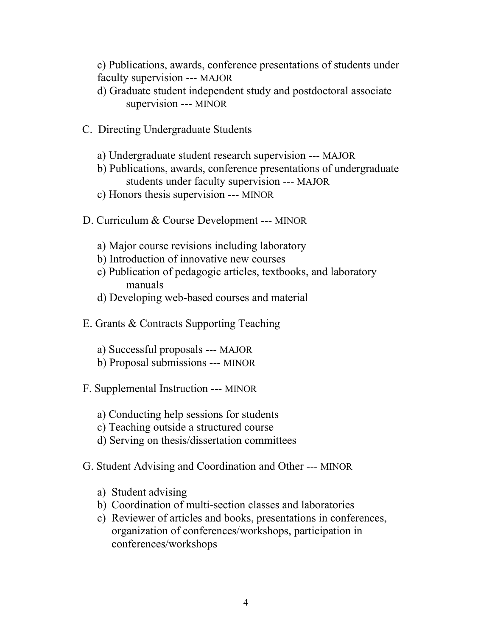c) Publications, awards, conference presentations of students under faculty supervision --- MAJOR

d) Graduate student independent study and postdoctoral associate supervision --- MINOR

- C. Directing Undergraduate Students
	- a) Undergraduate student research supervision --- MAJOR
	- b) Publications, awards, conference presentations of undergraduate students under faculty supervision --- MAJOR
	- c) Honors thesis supervision --- MINOR
- D. Curriculum & Course Development --- MINOR
	- a) Major course revisions including laboratory
	- b) Introduction of innovative new courses
	- c) Publication of pedagogic articles, textbooks, and laboratory manuals
	- d) Developing web-based courses and material
- E. Grants & Contracts Supporting Teaching
	- a) Successful proposals --- MAJOR
	- b) Proposal submissions --- MINOR
- F. Supplemental Instruction --- MINOR
	- a) Conducting help sessions for students
	- c) Teaching outside a structured course
	- d) Serving on thesis/dissertation committees
- G. Student Advising and Coordination and Other --- MINOR
	- a) Student advising
	- b) Coordination of multi-section classes and laboratories
	- c) Reviewer of articles and books, presentations in conferences, organization of conferences/workshops, participation in conferences/workshops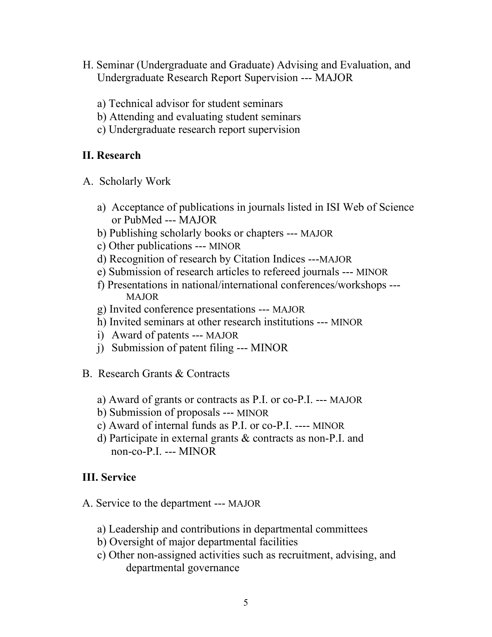- H. Seminar (Undergraduate and Graduate) Advising and Evaluation, and Undergraduate Research Report Supervision --- MAJOR
	- a) Technical advisor for student seminars
	- b) Attending and evaluating student seminars
	- c) Undergraduate research report supervision

# **II. Research**

- A. Scholarly Work
	- a) Acceptance of publications in journals listed in ISI Web of Science or PubMed --- MAJOR
	- b) Publishing scholarly books or chapters --- MAJOR
	- c) Other publications --- MINOR
	- d) Recognition of research by Citation Indices ---MAJOR
	- e) Submission of research articles to refereed journals --- MINOR
	- f) Presentations in national/international conferences/workshops --- MAJOR
	- g) Invited conference presentations --- MAJOR
	- h) Invited seminars at other research institutions --- MINOR
	- i) Award of patents --- MAJOR
	- j) Submission of patent filing --- MINOR
- B. Research Grants & Contracts
	- a) Award of grants or contracts as P.I. or co-P.I. --- MAJOR
	- b) Submission of proposals --- MINOR
	- c) Award of internal funds as P.I. or co-P.I. ---- MINOR
	- d) Participate in external grants & contracts as non-P.I. and non-co-P.I. --- MINOR

# **III. Service**

- A. Service to the department --- MAJOR
	- a) Leadership and contributions in departmental committees
	- b) Oversight of major departmental facilities
	- c) Other non-assigned activities such as recruitment, advising, and departmental governance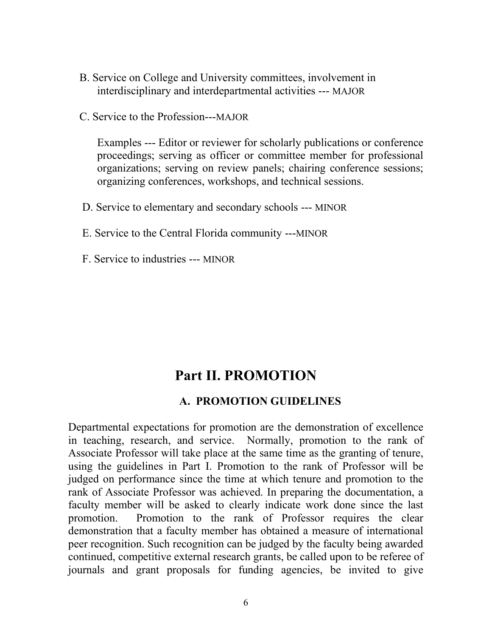- B. Service on College and University committees, involvement in interdisciplinary and interdepartmental activities --- MAJOR
- C. Service to the Profession---MAJOR

Examples --- Editor or reviewer for scholarly publications or conference proceedings; serving as officer or committee member for professional organizations; serving on review panels; chairing conference sessions; organizing conferences, workshops, and technical sessions.

- D. Service to elementary and secondary schools --- MINOR
- E. Service to the Central Florida community ---MINOR
- F. Service to industries --- MINOR

# **Part II. PROMOTION**

#### **A. PROMOTION GUIDELINES**

Departmental expectations for promotion are the demonstration of excellence in teaching, research, and service. Normally, promotion to the rank of Associate Professor will take place at the same time as the granting of tenure, using the guidelines in Part I. Promotion to the rank of Professor will be judged on performance since the time at which tenure and promotion to the rank of Associate Professor was achieved. In preparing the documentation, a faculty member will be asked to clearly indicate work done since the last promotion. Promotion to the rank of Professor requires the clear demonstration that a faculty member has obtained a measure of international peer recognition. Such recognition can be judged by the faculty being awarded continued, competitive external research grants, be called upon to be referee of journals and grant proposals for funding agencies, be invited to give